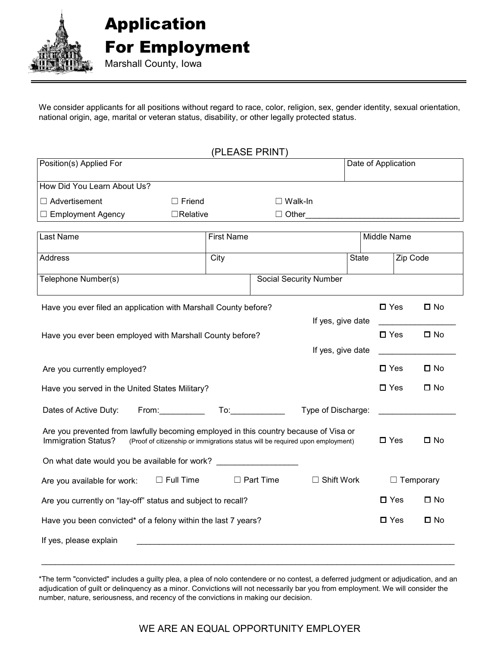

We consider applicants for all positions without regard to race, color, religion, sex, gender identity, sexual orientation, national origin, age, marital or veteran status, disability, or other legally protected status.

|                                                                                                                                                                                                                                                         |                   | (PLEASE PRINT)                                                                                                                                                                                                                                       |                   |                     |                  |
|---------------------------------------------------------------------------------------------------------------------------------------------------------------------------------------------------------------------------------------------------------|-------------------|------------------------------------------------------------------------------------------------------------------------------------------------------------------------------------------------------------------------------------------------------|-------------------|---------------------|------------------|
| Position(s) Applied For                                                                                                                                                                                                                                 |                   |                                                                                                                                                                                                                                                      |                   | Date of Application |                  |
| How Did You Learn About Us?                                                                                                                                                                                                                             |                   |                                                                                                                                                                                                                                                      |                   |                     |                  |
| $\Box$ Advertisement                                                                                                                                                                                                                                    | $\Box$ Friend     | $\square$ Walk-In                                                                                                                                                                                                                                    |                   |                     |                  |
| $\Box$ Employment Agency                                                                                                                                                                                                                                | $\Box$ Relative   | $\Box$ Other                                                                                                                                                                                                                                         |                   |                     |                  |
|                                                                                                                                                                                                                                                         |                   |                                                                                                                                                                                                                                                      |                   |                     |                  |
| Last Name                                                                                                                                                                                                                                               | <b>First Name</b> |                                                                                                                                                                                                                                                      |                   | Middle Name         |                  |
| Address                                                                                                                                                                                                                                                 | City              |                                                                                                                                                                                                                                                      | <b>State</b>      | Zip Code            |                  |
| Telephone Number(s)                                                                                                                                                                                                                                     |                   | <b>Social Security Number</b>                                                                                                                                                                                                                        |                   |                     |                  |
| Have you ever filed an application with Marshall County before?                                                                                                                                                                                         |                   |                                                                                                                                                                                                                                                      |                   | $\square$ Yes       | $\square$ No     |
|                                                                                                                                                                                                                                                         |                   |                                                                                                                                                                                                                                                      | If yes, give date |                     |                  |
| Have you ever been employed with Marshall County before?                                                                                                                                                                                                |                   |                                                                                                                                                                                                                                                      |                   | $\Box$ Yes          | $\square$ No     |
|                                                                                                                                                                                                                                                         |                   |                                                                                                                                                                                                                                                      | If yes, give date |                     |                  |
| Are you currently employed?                                                                                                                                                                                                                             |                   |                                                                                                                                                                                                                                                      |                   | $\Box$ Yes          | $\square$ No     |
| Have you served in the United States Military?                                                                                                                                                                                                          |                   |                                                                                                                                                                                                                                                      |                   | $\square$ Yes       | $\square$ No     |
| Dates of Active Duty:<br>From: The contract of the contract of the contract of the contract of the contract of the contract of the contract of the contract of the contract of the contract of the contract of the contract of the contract of the cont |                   | To: the contract of the contract of the contract of the contract of the contract of the contract of the contract of the contract of the contract of the contract of the contract of the contract of the contract of the contra<br>Type of Discharge: |                   |                     |                  |
| Are you prevented from lawfully becoming employed in this country because of Visa or<br>Immigration Status?<br>(Proof of citizenship or immigrations status will be required upon employment)                                                           |                   |                                                                                                                                                                                                                                                      |                   | $\square$ Yes       | $\square$ No     |
| On what date would you be available for work? __________________________________                                                                                                                                                                        |                   |                                                                                                                                                                                                                                                      |                   |                     |                  |
| Are you available for work:                                                                                                                                                                                                                             | $\Box$ Full Time  | $\Box$ Part Time<br>$\Box$ Shift Work                                                                                                                                                                                                                |                   |                     | $\Box$ Temporary |
| Are you currently on "lay-off" status and subject to recall?                                                                                                                                                                                            |                   |                                                                                                                                                                                                                                                      |                   | $\Box$ Yes          | $\square$ No     |
| Have you been convicted* of a felony within the last 7 years?                                                                                                                                                                                           |                   |                                                                                                                                                                                                                                                      | $\Box$ Yes        | $\square$ No        |                  |
| If yes, please explain                                                                                                                                                                                                                                  |                   |                                                                                                                                                                                                                                                      |                   |                     |                  |
|                                                                                                                                                                                                                                                         |                   |                                                                                                                                                                                                                                                      |                   |                     |                  |

\*The term "convicted" includes a guilty plea, a plea of nolo contendere or no contest, a deferred judgment or adjudication, and an adjudication of guilt or delinquency as a minor. Convictions will not necessarily bar you from employment. We will consider the number, nature, seriousness, and recency of the convictions in making our decision.

### WE ARE AN EQUAL OPPORTUNITY EMPLOYER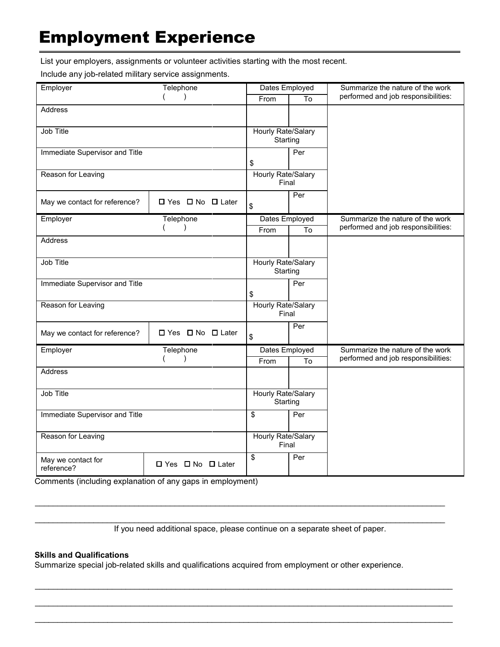# Employment Experience

List your employers, assignments or volunteer activities starting with the most recent.

Include any job-related military service assignments.

| Employer                         | Telephone                         | Dates Employed                 |                | Summarize the nature of the work    |  |
|----------------------------------|-----------------------------------|--------------------------------|----------------|-------------------------------------|--|
|                                  | $\lambda$                         | From                           | To             | performed and job responsibilities: |  |
| Address                          |                                   |                                |                |                                     |  |
|                                  |                                   |                                |                |                                     |  |
| Job Title                        |                                   | Hourly Rate/Salary             |                |                                     |  |
|                                  |                                   | Starting                       |                |                                     |  |
| Immediate Supervisor and Title   |                                   |                                | Per            |                                     |  |
|                                  |                                   | \$                             |                |                                     |  |
| Reason for Leaving               |                                   | Hourly Rate/Salary<br>Final    |                |                                     |  |
| May we contact for reference?    | □ Yes □ No □ Later                | \$                             | Per            |                                     |  |
| Employer                         | Telephone                         | Dates Employed                 |                | Summarize the nature of the work    |  |
|                                  | $\mathcal{E}$                     |                                | To             | performed and job responsibilities: |  |
| Address                          |                                   | From                           |                |                                     |  |
|                                  |                                   |                                |                |                                     |  |
| Job Title                        |                                   | Hourly Rate/Salary             |                |                                     |  |
|                                  |                                   | Starting                       |                |                                     |  |
| Immediate Supervisor and Title   |                                   |                                | Per            |                                     |  |
|                                  |                                   | \$                             |                |                                     |  |
| Reason for Leaving               |                                   | Hourly Rate/Salary<br>Final    |                |                                     |  |
|                                  |                                   |                                | Per            |                                     |  |
| May we contact for reference?    | $\Box$ Yes $\Box$ No $\Box$ Later | \$                             |                |                                     |  |
| Employer                         | Telephone                         |                                | Dates Employed | Summarize the nature of the work    |  |
| $\lambda$                        |                                   | From                           | To             | performed and job responsibilities: |  |
| <b>Address</b>                   |                                   |                                |                |                                     |  |
|                                  |                                   |                                |                |                                     |  |
| Job Title                        |                                   | Hourly Rate/Salary<br>Starting |                |                                     |  |
| Immediate Supervisor and Title   | \$                                | Per                            |                |                                     |  |
| Reason for Leaving               |                                   | Hourly Rate/Salary             |                |                                     |  |
|                                  |                                   |                                | Final          |                                     |  |
| May we contact for<br>reference? | □ Yes □ No □ Later                | \$                             | Per            |                                     |  |

Comments (including explanation of any gaps in employment)

If you need additional space, please continue on a separate sheet of paper.

\_\_\_\_\_\_\_\_\_\_\_\_\_\_\_\_\_\_\_\_\_\_\_\_\_\_\_\_\_\_\_\_\_\_\_\_\_\_\_\_\_\_\_\_\_\_\_\_\_\_\_\_\_\_\_\_\_\_\_\_\_\_\_\_\_\_\_\_\_\_\_\_\_\_\_\_\_\_\_\_\_\_\_\_\_\_\_\_\_\_\_

\_\_\_\_\_\_\_\_\_\_\_\_\_\_\_\_\_\_\_\_\_\_\_\_\_\_\_\_\_\_\_\_\_\_\_\_\_\_\_\_\_\_\_\_\_\_\_\_\_\_\_\_\_\_\_\_\_\_\_\_\_\_\_\_\_\_\_\_\_\_\_\_\_\_\_\_\_\_\_\_\_\_\_\_\_\_\_\_\_\_\_

\_\_\_\_\_\_\_\_\_\_\_\_\_\_\_\_\_\_\_\_\_\_\_\_\_\_\_\_\_\_\_\_\_\_\_\_\_\_\_\_\_\_\_\_\_\_\_\_\_\_\_\_\_\_\_\_\_\_\_\_\_\_\_\_\_\_\_\_\_\_\_\_\_\_\_\_\_\_\_\_\_\_\_\_\_\_\_\_\_\_\_\_

\_\_\_\_\_\_\_\_\_\_\_\_\_\_\_\_\_\_\_\_\_\_\_\_\_\_\_\_\_\_\_\_\_\_\_\_\_\_\_\_\_\_\_\_\_\_\_\_\_\_\_\_\_\_\_\_\_\_\_\_\_\_\_\_\_\_\_\_\_\_\_\_\_\_\_\_\_\_\_\_\_\_\_\_\_\_\_\_\_\_\_\_

\_\_\_\_\_\_\_\_\_\_\_\_\_\_\_\_\_\_\_\_\_\_\_\_\_\_\_\_\_\_\_\_\_\_\_\_\_\_\_\_\_\_\_\_\_\_\_\_\_\_\_\_\_\_\_\_\_\_\_\_\_\_\_\_\_\_\_\_\_\_\_\_\_\_\_\_\_\_\_\_\_\_\_\_\_\_\_\_\_\_\_\_

#### **Skills and Qualifications**

Summarize special job-related skills and qualifications acquired from employment or other experience.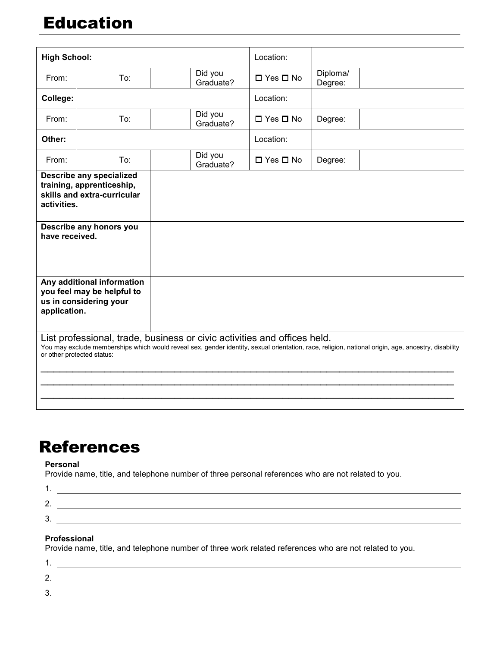# Education

| <b>High School:</b>                                                                                                                                     |     |                      | Location:                                                                |                     |                                                                                                                                                     |
|---------------------------------------------------------------------------------------------------------------------------------------------------------|-----|----------------------|--------------------------------------------------------------------------|---------------------|-----------------------------------------------------------------------------------------------------------------------------------------------------|
| From:                                                                                                                                                   | To: | Did you<br>Graduate? | □ Yes □ No                                                               | Diploma/<br>Degree: |                                                                                                                                                     |
| College:                                                                                                                                                |     |                      | Location:                                                                |                     |                                                                                                                                                     |
| From:                                                                                                                                                   | To: | Did you<br>Graduate? | $\Box$ Yes $\Box$ No                                                     | Degree:             |                                                                                                                                                     |
| Other:                                                                                                                                                  |     |                      | Location:                                                                |                     |                                                                                                                                                     |
| From:                                                                                                                                                   | To: | Did you<br>Graduate? | $\Box$ Yes $\Box$ No                                                     | Degree:             |                                                                                                                                                     |
| <b>Describe any specialized</b><br>training, apprenticeship,<br>skills and extra-curricular<br>activities.<br>Describe any honors you<br>have received. |     |                      |                                                                          |                     |                                                                                                                                                     |
| Any additional information<br>you feel may be helpful to<br>us in considering your<br>application.                                                      |     |                      |                                                                          |                     |                                                                                                                                                     |
| or other protected status:                                                                                                                              |     |                      | List professional, trade, business or civic activities and offices held. |                     | You may exclude memberships which would reveal sex, gender identity, sexual orientation, race, religion, national origin, age, ancestry, disability |

# References

#### **Personal**

Provide name, title, and telephone number of three personal references who are not related to you.

| -          |  |
|------------|--|
| $\sqrt{2}$ |  |

#### **Professional**

Provide name, title, and telephone number of three work related references who are not related to you.

| <u>.</u> |  |
|----------|--|
| Ð<br>ັ   |  |
|          |  |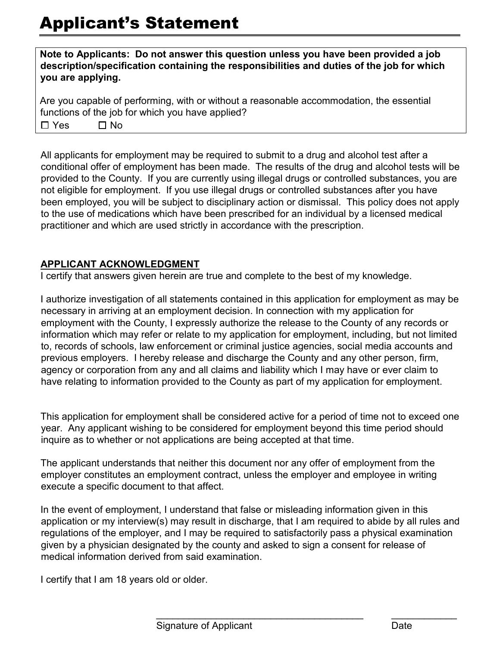**Note to Applicants: Do not answer this question unless you have been provided a job description/specification containing the responsibilities and duties of the job for which you are applying.** 

Are you capable of performing, with or without a reasonable accommodation, the essential functions of the job for which you have applied? ☐ Yes ☐ No

All applicants for employment may be required to submit to a drug and alcohol test after a conditional offer of employment has been made. The results of the drug and alcohol tests will be provided to the County. If you are currently using illegal drugs or controlled substances, you are not eligible for employment. If you use illegal drugs or controlled substances after you have been employed, you will be subject to disciplinary action or dismissal. This policy does not apply to the use of medications which have been prescribed for an individual by a licensed medical practitioner and which are used strictly in accordance with the prescription.

### **APPLICANT ACKNOWLEDGMENT**

I certify that answers given herein are true and complete to the best of my knowledge.

I authorize investigation of all statements contained in this application for employment as may be necessary in arriving at an employment decision. In connection with my application for employment with the County, I expressly authorize the release to the County of any records or information which may refer or relate to my application for employment, including, but not limited to, records of schools, law enforcement or criminal justice agencies, social media accounts and previous employers. I hereby release and discharge the County and any other person, firm, agency or corporation from any and all claims and liability which I may have or ever claim to have relating to information provided to the County as part of my application for employment.

This application for employment shall be considered active for a period of time not to exceed one year. Any applicant wishing to be considered for employment beyond this time period should inquire as to whether or not applications are being accepted at that time.

The applicant understands that neither this document nor any offer of employment from the employer constitutes an employment contract, unless the employer and employee in writing execute a specific document to that affect.

In the event of employment, I understand that false or misleading information given in this application or my interview(s) may result in discharge, that I am required to abide by all rules and regulations of the employer, and I may be required to satisfactorily pass a physical examination given by a physician designated by the county and asked to sign a consent for release of medical information derived from said examination.

\_\_\_\_\_\_\_\_\_\_\_\_\_\_\_\_\_\_\_\_\_\_\_\_\_\_\_\_\_\_\_\_\_\_\_\_\_\_ \_\_\_\_\_\_\_\_\_\_\_\_

I certify that I am 18 years old or older.